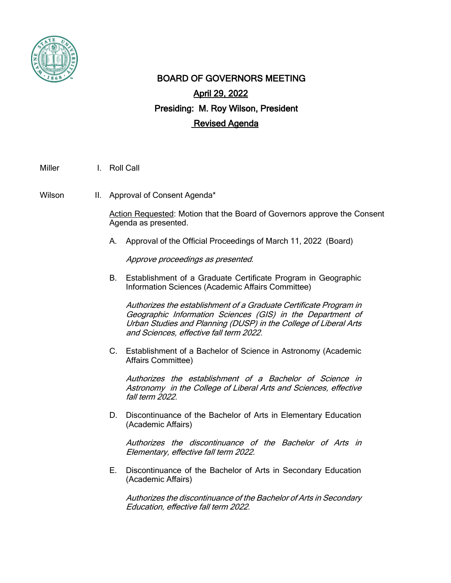

## BOARD OF GOVERNORS MEETING April 29, 2022 Presiding: M. Roy Wilson, President Revised Agenda

Miller I. Roll Call

Wilson II. Approval of Consent Agenda\*

Action Requested: Motion that the Board of Governors approve the Consent Agenda as presented.

A. Approval of the Official Proceedings of March 11, 2022 (Board)

Approve proceedings as presented.

B. Establishment of a Graduate Certificate Program in Geographic Information Sciences (Academic Affairs Committee)

Authorizes the establishment of a Graduate Certificate Program in Geographic Information Sciences (GIS) in the Department of Urban Studies and Planning (DUSP) in the College of Liberal Arts and Sciences, effective fall term 2022.

C. Establishment of a Bachelor of Science in Astronomy (Academic Affairs Committee)

Authorizes the establishment of a Bachelor of Science in Astronomy in the College of Liberal Arts and Sciences, effective fall term 2022.

D. Discontinuance of the Bachelor of Arts in Elementary Education (Academic Affairs)

Authorizes the discontinuance of the Bachelor of Arts in Elementary, effective fall term 2022.

E. Discontinuance of the Bachelor of Arts in Secondary Education (Academic Affairs)

Authorizes the discontinuance of the Bachelor of Arts in Secondary Education, effective fall term 2022.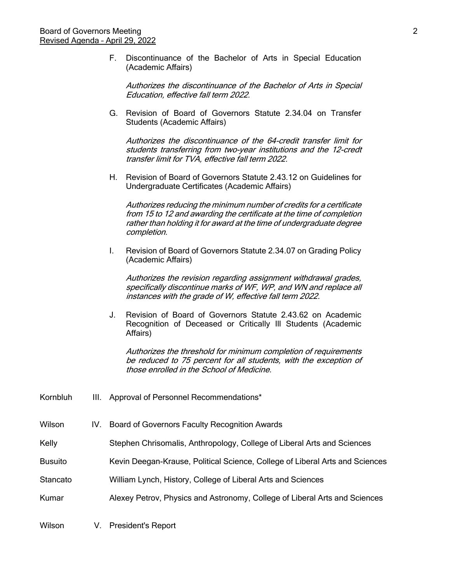F. Discontinuance of the Bachelor of Arts in Special Education (Academic Affairs)

Authorizes the discontinuance of the Bachelor of Arts in Special Education, effective fall term 2022.

G. Revision of Board of Governors Statute 2.34.04 on Transfer Students (Academic Affairs)

Authorizes the discontinuance of the 64-credit transfer limit for students transferring from two-year institutions and the 12-credt transfer limit for TVA, effective fall term 2022.

H. Revision of Board of Governors Statute 2.43.12 on Guidelines for Undergraduate Certificates (Academic Affairs)

Authorizes reducing the minimum number of credits for a certificate from 15 to 12 and awarding the certificate at the time of completion rather than holding it for award at the time of undergraduate degree completion.

I. Revision of Board of Governors Statute 2.34.07 on Grading Policy (Academic Affairs)

Authorizes the revision regarding assignment withdrawal grades, specifically discontinue marks of WF, WP, and WN and replace all instances with the grade of W, effective fall term 2022.

J. Revision of Board of Governors Statute 2.43.62 on Academic Recognition of Deceased or Critically Ill Students (Academic Affairs)

Authorizes the threshold for minimum completion of requirements be reduced to 75 percent for all students, with the exception of those enrolled in the School of Medicine.

Kornbluh III. Approval of Personnel Recommendations\* Wilson IV. Board of Governors Faculty Recognition Awards Kelly **Stephen Chrisomalis, Anthropology, College of Liberal Arts and Sciences** Busuito Kevin Deegan-Krause, Political Science, College of Liberal Arts and Sciences Stancato William Lynch, History, College of Liberal Arts and Sciences Kumar **Alexey Petrov, Physics and Astronomy, College of Liberal Arts and Sciences** Wilson V. President's Report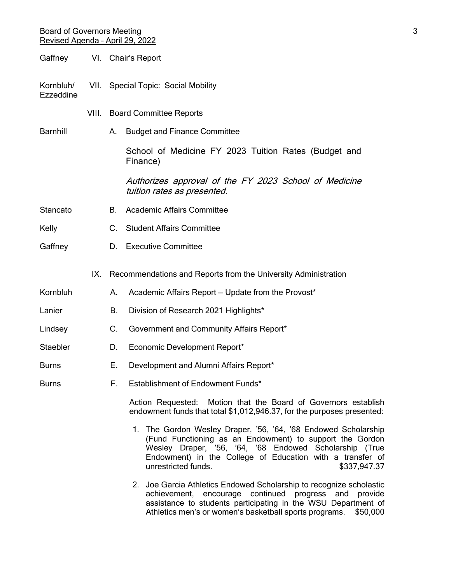## Board of Governors Meeting 3 and 3 and 3 and 3 and 3 and 3 and 3 and 3 and 3 and 3 and 3 and 3 and 3 and 3 and 3 and 3 and 3 and 3 and 3 and 3 and 3 and 3 and 3 and 3 and 3 and 3 and 3 and 3 and 3 and 3 and 3 and 3 and 3 a Revised Agenda – April 29, 2022

- Gaffney VI. Chair's Report
- Kornbluh/ VII. Special Topic: Social Mobility Ezzeddine
	- VIII. Board Committee Reports

Barnhill **A.** Budget and Finance Committee

School of Medicine FY 2023 Tuition Rates (Budget and Finance)

Authorizes approval of the FY 2023 School of Medicine tuition rates as presented.

- Stancato B. Academic Affairs Committee
- Kelly C. Student Affairs Committee
- Gaffney D. Executive Committee
	- IX. Recommendations and Reports from the University Administration
- Kornbluh **A.** Academic Affairs Report Update from the Provost<sup>\*</sup>
- Lanier **B.** Division of Research 2021 Highlights\*
- Lindsey C. Government and Community Affairs Report\*
- Staebler D. Economic Development Report\*
- Burns **E.** Development and Alumni Affairs Report\*
- Burns F. Establishment of Endowment Funds\*

Action Requested: Motion that the Board of Governors establish endowment funds that total \$1,012,946.37, for the purposes presented:

- 1. The Gordon Wesley Draper, '56, '64, '68 Endowed Scholarship (Fund Functioning as an Endowment) to support the Gordon Wesley Draper, '56, '64, '68 Endowed Scholarship (True Endowment) in the College of Education with a transfer of unrestricted funds.  $$337.947.37$
- 2. Joe Garcia Athletics Endowed Scholarship to recognize scholastic achievement, encourage continued progress and provide assistance to students participating in the WSU Department of Athletics men's or women's basketball sports programs. \$50,000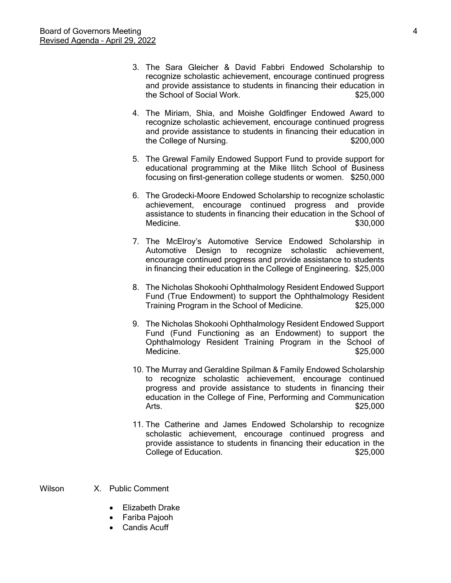- 3. The Sara Gleicher & David Fabbri Endowed Scholarship to recognize scholastic achievement, encourage continued progress and provide assistance to students in financing their education in the School of Social Work.  $$25,000$
- 4. The Miriam, Shia, and Moishe Goldfinger Endowed Award to recognize scholastic achievement, encourage continued progress and provide assistance to students in financing their education in the College of Nursing.  $$200,000$
- 5. The Grewal Family Endowed Support Fund to provide support for educational programming at the Mike Ilitch School of Business focusing on first-generation college students or women. \$250,000
- 6. The Grodecki-Moore Endowed Scholarship to recognize scholastic achievement, encourage continued progress and provide assistance to students in financing their education in the School of Medicine.  $$30,000$
- 7. The McElroy's Automotive Service Endowed Scholarship in Automotive Design to recognize scholastic achievement, encourage continued progress and provide assistance to students in financing their education in the College of Engineering. \$25,000
- 8. The Nicholas Shokoohi Ophthalmology Resident Endowed Support Fund (True Endowment) to support the Ophthalmology Resident Training Program in the School of Medicine. \$25,000
- 9. The Nicholas Shokoohi Ophthalmology Resident Endowed Support Fund (Fund Functioning as an Endowment) to support the Ophthalmology Resident Training Program in the School of Medicine.  $$25,000$
- 10. The Murray and Geraldine Spilman & Family Endowed Scholarship to recognize scholastic achievement, encourage continued progress and provide assistance to students in financing their education in the College of Fine, Performing and Communication Arts. \$25,000
- 11. The Catherine and James Endowed Scholarship to recognize scholastic achievement, encourage continued progress and provide assistance to students in financing their education in the College of Education.  $$25,000$

Wilson X Public Comment

- Elizabeth Drake
- Fariba Pajooh
- Candis Acuff